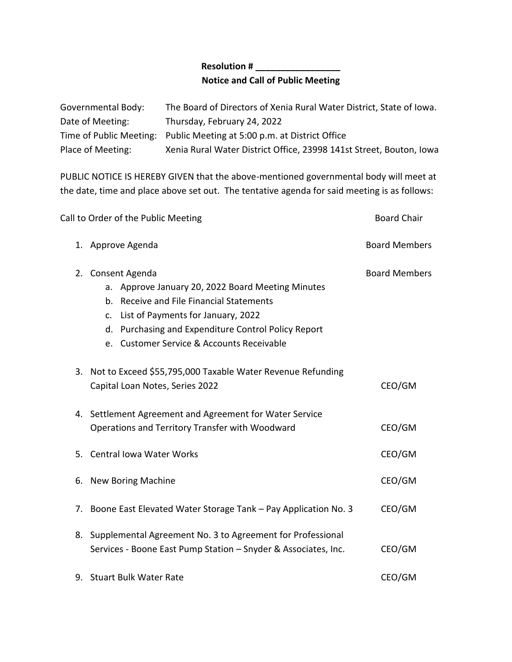## **Resolution # \_\_\_\_\_\_\_\_\_\_\_\_\_\_\_\_\_ Notice and Call of Public Meeting**

| Governmental Body: | The Board of Directors of Xenia Rural Water District, State of Iowa.   |
|--------------------|------------------------------------------------------------------------|
| Date of Meeting:   | Thursday, February 24, 2022                                            |
|                    | Time of Public Meeting: Public Meeting at 5:00 p.m. at District Office |
| Place of Meeting:  | Xenia Rural Water District Office, 23998 141st Street, Bouton, Iowa    |

PUBLIC NOTICE IS HEREBY GIVEN that the above-mentioned governmental body will meet at the date, time and place above set out. The tentative agenda for said meeting is as follows:

|    | Call to Order of the Public Meeting                                                                                                                                                                                                                                            |                      |
|----|--------------------------------------------------------------------------------------------------------------------------------------------------------------------------------------------------------------------------------------------------------------------------------|----------------------|
|    | 1. Approve Agenda                                                                                                                                                                                                                                                              | <b>Board Members</b> |
|    | 2. Consent Agenda<br>a. Approve January 20, 2022 Board Meeting Minutes<br>b. Receive and File Financial Statements<br>List of Payments for January, 2022<br>$\mathsf{C}$ .<br>d. Purchasing and Expenditure Control Policy Report<br>e. Customer Service & Accounts Receivable | <b>Board Members</b> |
|    | 3. Not to Exceed \$55,795,000 Taxable Water Revenue Refunding<br>Capital Loan Notes, Series 2022                                                                                                                                                                               | CEO/GM               |
|    | 4. Settlement Agreement and Agreement for Water Service<br>Operations and Territory Transfer with Woodward                                                                                                                                                                     | CEO/GM               |
|    | 5. Central Iowa Water Works                                                                                                                                                                                                                                                    | CEO/GM               |
| 6. | <b>New Boring Machine</b>                                                                                                                                                                                                                                                      | CEO/GM               |
|    | 7. Boone East Elevated Water Storage Tank - Pay Application No. 3                                                                                                                                                                                                              | CEO/GM               |
|    | 8. Supplemental Agreement No. 3 to Agreement for Professional<br>Services - Boone East Pump Station - Snyder & Associates, Inc.                                                                                                                                                | CEO/GM               |
|    | 9. Stuart Bulk Water Rate                                                                                                                                                                                                                                                      | CEO/GM               |